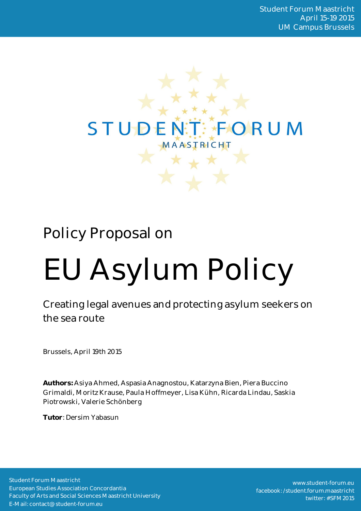

# Policy Proposal on

# EU Asylum Policy

Creating legal avenues and protecting asylum seekers on the sea route

Brussels, April 19th 2015

**Authors:** Asiya Ahmed, Aspasia Anagnostou, Katarzyna Bien, Piera Buccino Grimaldi, Moritz Krause, Paula Hoffmeyer, Lisa Kühn, Ricarda Lindau, Saskia Piotrowski, Valerie Schönberg

**Tutor**: Dersim Yabasun

Student Forum Maastricht European Studies Association Concordantia Faculty of Arts and Social Sciences Maastricht University E-Mail: contact@student-forum.eu

www.student-forum.eu facebook: /student.forum.maastricht twitter: #SFM2015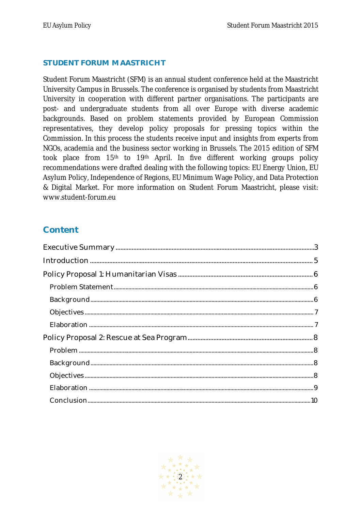#### **STUDENT FORUM MAASTRICHT**

Student Forum Maastricht (SFM) is an annual student conference held at the Maastricht University Campus in Brussels. The conference is organised by students from Maastricht University in cooperation with different partner organisations. The participants are post- and undergraduate students from all over Europe with diverse academic backgrounds. Based on problem statements provided by European Commission representatives, they develop policy proposals for pressing topics within the Commission. In this process the students receive input and insights from experts from NGOs, academia and the business sector working in Brussels. The 2015 edition of SFM took place from 15th to 19th April. In five different working groups policy recommendations were drafted dealing with the following topics: EU Energy Union, EU Asylum Policy, Independence of Regions, EU Minimum Wage Policy, and Data Protection & Digital Market. For more information on Student Forum Maastricht, please visit: www.student-forum.eu

## **Content**

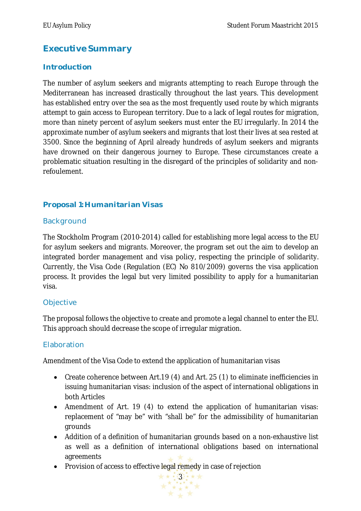# **Executive Summary**

#### **Introduction**

The number of asylum seekers and migrants attempting to reach Europe through the Mediterranean has increased drastically throughout the last years. This development has established entry over the sea as the most frequently used route by which migrants attempt to gain access to European territory. Due to a lack of legal routes for migration, more than ninety percent of asylum seekers must enter the EU irregularly. In 2014 the approximate number of asylum seekers and migrants that lost their lives at sea rested at 3500. Since the beginning of April already hundreds of asylum seekers and migrants have drowned on their dangerous journey to Europe. These circumstances create a problematic situation resulting in the disregard of the principles of solidarity and nonrefoulement.

#### **Proposal 1: Humanitarian Visas**

#### **Background**

The Stockholm Program (2010-2014) called for establishing more legal access to the EU for asylum seekers and migrants. Moreover, the program set out the aim to develop an integrated border management and visa policy, respecting the principle of solidarity. Currently, the Visa Code (Regulation (EC) No 810/2009) governs the visa application process. It provides the legal but very limited possibility to apply for a humanitarian visa.

#### **Objective**

The proposal follows the objective to create and promote a legal channel to enter the EU. This approach should decrease the scope of irregular migration.

#### Elaboration

Amendment of the Visa Code to extend the application of humanitarian visas

- Create coherence between Art.19 (4) and Art. 25 (1) to eliminate inefficiencies in issuing humanitarian visas: inclusion of the aspect of international obligations in both Articles
- Amendment of Art. 19 (4) to extend the application of humanitarian visas: replacement of "may be" with "shall be" for the admissibility of humanitarian grounds
- Addition of a definition of humanitarian grounds based on a non-exhaustive list as well as a definition of international obligations based on international agreements
- Provision of access to effective legal remedy in case of rejection

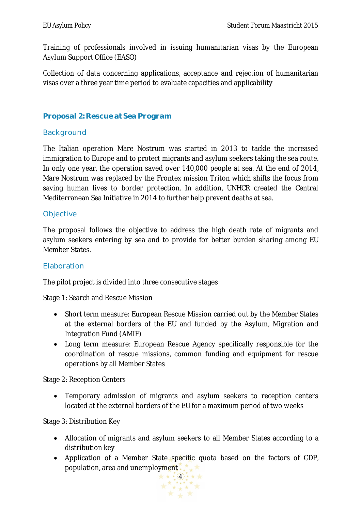Training of professionals involved in issuing humanitarian visas by the European Asylum Support Office (EASO)

Collection of data concerning applications, acceptance and rejection of humanitarian visas over a three year time period to evaluate capacities and applicability

#### **Proposal 2: Rescue at Sea Program**

#### **Background**

The Italian operation Mare Nostrum was started in 2013 to tackle the increased immigration to Europe and to protect migrants and asylum seekers taking the sea route. In only one year, the operation saved over 140,000 people at sea. At the end of 2014, Mare Nostrum was replaced by the Frontex mission Triton which shifts the focus from saving human lives to border protection. In addition, UNHCR created the Central Mediterranean Sea Initiative in 2014 to further help prevent deaths at sea.

#### **Objective**

The proposal follows the objective to address the high death rate of migrants and asylum seekers entering by sea and to provide for better burden sharing among EU Member States.

#### Elaboration

The pilot project is divided into three consecutive stages

Stage 1: Search and Rescue Mission

- Short term measure: European Rescue Mission carried out by the Member States at the external borders of the EU and funded by the Asylum, Migration and Integration Fund (AMIF)
- Long term measure: European Rescue Agency specifically responsible for the coordination of rescue missions, common funding and equipment for rescue operations by all Member States

Stage 2: Reception Centers

 Temporary admission of migrants and asylum seekers to reception centers located at the external borders of the EU for a maximum period of two weeks

Stage 3: Distribution Key

- Allocation of migrants and asylum seekers to all Member States according to a distribution key
- Application of a Member State specific quota based on the factors of GDP, population, area and unemployment.

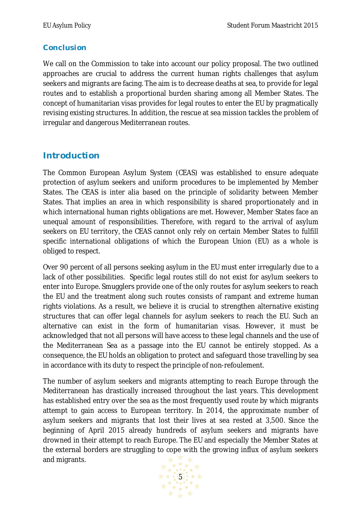#### **Conclusion**

We call on the Commission to take into account our policy proposal. The two outlined approaches are crucial to address the current human rights challenges that asylum seekers and migrants are facing. The aim is to decrease deaths at sea, to provide for legal routes and to establish a proportional burden sharing among all Member States. The concept of humanitarian visas provides for legal routes to enter the EU by pragmatically revising existing structures. In addition, the rescue at sea mission tackles the problem of irregular and dangerous Mediterranean routes.

## **Introduction**

The Common European Asylum System (CEAS) was established to ensure adequate protection of asylum seekers and uniform procedures to be implemented by Member States. The CEAS is inter alia based on the principle of solidarity between Member States. That implies an area in which responsibility is shared proportionately and in which international human rights obligations are met. However, Member States face an unequal amount of responsibilities. Therefore, with regard to the arrival of asylum seekers on EU territory, the CEAS cannot only rely on certain Member States to fulfill specific international obligations of which the European Union (EU) as a whole is obliged to respect.

Over 90 percent of all persons seeking asylum in the EU must enter irregularly due to a lack of other possibilities. Specific legal routes still do not exist for asylum seekers to enter into Europe. Smugglers provide one of the only routes for asylum seekers to reach the EU and the treatment along such routes consists of rampant and extreme human rights violations. As a result, we believe it is crucial to strengthen alternative existing structures that can offer legal channels for asylum seekers to reach the EU. Such an alternative can exist in the form of humanitarian visas. However, it must be acknowledged that not all persons will have access to these legal channels and the use of the Mediterranean Sea as a passage into the EU cannot be entirely stopped. As a consequence, the EU holds an obligation to protect and safeguard those travelling by sea in accordance with its duty to respect the principle of non-refoulement.

The number of asylum seekers and migrants attempting to reach Europe through the Mediterranean has drastically increased throughout the last years. This development has established entry over the sea as the most frequently used route by which migrants attempt to gain access to European territory. In 2014, the approximate number of asylum seekers and migrants that lost their lives at sea rested at 3,500. Since the beginning of April 2015 already hundreds of asylum seekers and migrants have drowned in their attempt to reach Europe. The EU and especially the Member States at the external borders are struggling to cope with the growing influx of asylum seekers and migrants.

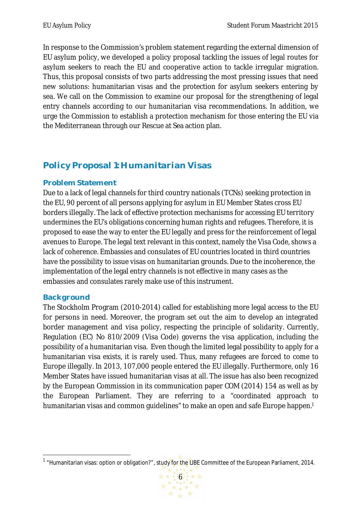In response to the Commission's problem statement regarding the external dimension of EU asylum policy, we developed a policy proposal tackling the issues of legal routes for asylum seekers to reach the EU and cooperative action to tackle irregular migration. Thus, this proposal consists of two parts addressing the most pressing issues that need new solutions: humanitarian visas and the protection for asylum seekers entering by sea. We call on the Commission to examine our proposal for the strengthening of legal entry channels according to our humanitarian visa recommendations. In addition, we urge the Commission to establish a protection mechanism for those entering the EU via the Mediterranean through our Rescue at Sea action plan.

# **Policy Proposal 1: Humanitarian Visas**

#### **Problem Statement**

Due to a lack of legal channels for third country nationals (TCNs) seeking protection in the EU, 90 percent of all persons applying for asylum in EU Member States cross EU borders illegally. The lack of effective protection mechanisms for accessing EU territory undermines the EU's obligations concerning human rights and refugees. Therefore, it is proposed to ease the way to enter the EU legally and press for the reinforcement of legal avenues to Europe. The legal text relevant in this context, namely the Visa Code, shows a lack of coherence. Embassies and consulates of EU countries located in third countries have the possibility to issue visas on humanitarian grounds. Due to the incoherence, the implementation of the legal entry channels is not effective in many cases as the embassies and consulates rarely make use of this instrument.

#### **Background**

The Stockholm Program (2010-2014) called for establishing more legal access to the EU for persons in need. Moreover, the program set out the aim to develop an integrated border management and visa policy, respecting the principle of solidarity. Currently, Regulation (EC) No 810/2009 (Visa Code) governs the visa application, including the possibility of a humanitarian visa. Even though the limited legal possibility to apply for a humanitarian visa exists, it is rarely used. Thus, many refugees are forced to come to Europe illegally. In 2013, 107,000 people entered the EU illegally. Furthermore, only 16 Member States have issued humanitarian visas at all. The issue has also been recognized by the European Commission in its communication paper COM (2014) 154 as well as by the European Parliament. They are referring to a "coordinated approach to humanitarian visas and common quidelines" to make an open and safe Europe happen.<sup>1</sup>

 $\overline{a}$ <sup>1</sup> "Humanitarian visas: option or obligation?", study for the LIBE Committee of the European Parliament, 2014.

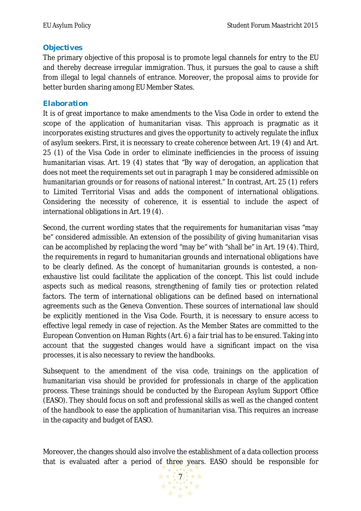#### **Objectives**

The primary objective of this proposal is to promote legal channels for entry to the EU and thereby decrease irregular immigration. Thus, it pursues the goal to cause a shift from illegal to legal channels of entrance. Moreover, the proposal aims to provide for better burden sharing among EU Member States.

#### **Elaboration**

It is of great importance to make amendments to the Visa Code in order to extend the scope of the application of humanitarian visas. This approach is pragmatic as it incorporates existing structures and gives the opportunity to actively regulate the influx of asylum seekers. First, it is necessary to create coherence between Art. 19 (4) and Art. 25 (1) of the Visa Code in order to eliminate inefficiencies in the process of issuing humanitarian visas. Art. 19 (4) states that "By way of derogation, an application that does not meet the requirements set out in paragraph 1 may be considered admissible on humanitarian grounds or for reasons of national interest." In contrast, Art. 25 (1) refers to Limited Territorial Visas and adds the component of international obligations. Considering the necessity of coherence, it is essential to include the aspect of international obligations in Art. 19 (4).

Second, the current wording states that the requirements for humanitarian visas "may be" considered admissible. An extension of the possibility of giving humanitarian visas can be accomplished by replacing the word "may be" with "shall be" in Art. 19 (4). Third, the requirements in regard to humanitarian grounds and international obligations have to be clearly defined. As the concept of humanitarian grounds is contested, a nonexhaustive list could facilitate the application of the concept. This list could include aspects such as medical reasons, strengthening of family ties or protection related factors. The term of international obligations can be defined based on international agreements such as the Geneva Convention. These sources of international law should be explicitly mentioned in the Visa Code. Fourth, it is necessary to ensure access to effective legal remedy in case of rejection. As the Member States are committed to the European Convention on Human Rights (Art. 6) a fair trial has to be ensured. Taking into account that the suggested changes would have a significant impact on the visa processes, it is also necessary to review the handbooks.

Subsequent to the amendment of the visa code, trainings on the application of humanitarian visa should be provided for professionals in charge of the application process. These trainings should be conducted by the European Asylum Support Office (EASO). They should focus on soft and professional skills as well as the changed content of the handbook to ease the application of humanitarian visa. This requires an increase in the capacity and budget of EASO.

Moreover, the changes should also involve the establishment of a data collection process that is evaluated after a period of three years. EASO should be responsible for

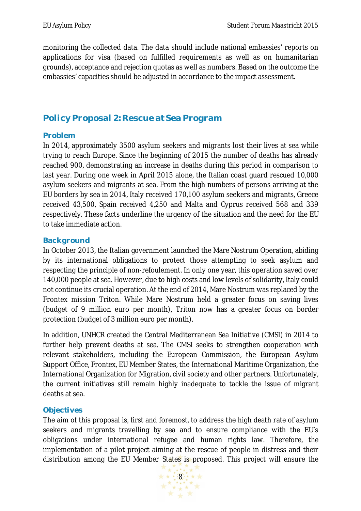monitoring the collected data. The data should include national embassies' reports on applications for visa (based on fulfilled requirements as well as on humanitarian grounds), acceptance and rejection quotas as well as numbers. Based on the outcome the embassies' capacities should be adjusted in accordance to the impact assessment.

# **Policy Proposal 2: Rescue at Sea Program**

#### **Problem**

In 2014, approximately 3500 asylum seekers and migrants lost their lives at sea while trying to reach Europe. Since the beginning of 2015 the number of deaths has already reached 900, demonstrating an increase in deaths during this period in comparison to last year. During one week in April 2015 alone, the Italian coast guard rescued 10,000 asylum seekers and migrants at sea. From the high numbers of persons arriving at the EU borders by sea in 2014, Italy received 170,100 asylum seekers and migrants, Greece received 43,500, Spain received 4,250 and Malta and Cyprus received 568 and 339 respectively. These facts underline the urgency of the situation and the need for the EU to take immediate action.

#### **Background**

In October 2013, the Italian government launched the Mare Nostrum Operation, abiding by its international obligations to protect those attempting to seek asylum and respecting the principle of non-refoulement. In only one year, this operation saved over 140,000 people at sea. However, due to high costs and low levels of solidarity, Italy could not continue its crucial operation. At the end of 2014, Mare Nostrum was replaced by the Frontex mission Triton. While Mare Nostrum held a greater focus on saving lives (budget of 9 million euro per month), Triton now has a greater focus on border protection (budget of 3 million euro per month).

In addition, UNHCR created the Central Mediterranean Sea Initiative (CMSI) in 2014 to further help prevent deaths at sea. The CMSI seeks to strengthen cooperation with relevant stakeholders, including the European Commission, the European Asylum Support Office, Frontex, EU Member States, the International Maritime Organization, the International Organization for Migration, civil society and other partners. Unfortunately, the current initiatives still remain highly inadequate to tackle the issue of migrant deaths at sea.

#### **Objectives**

The aim of this proposal is, first and foremost, to address the high death rate of asylum seekers and migrants travelling by sea and to ensure compliance with the EU's obligations under international refugee and human rights law. Therefore, the implementation of a pilot project aiming at the rescue of people in distress and their distribution among the EU Member States is proposed. This project will ensure the

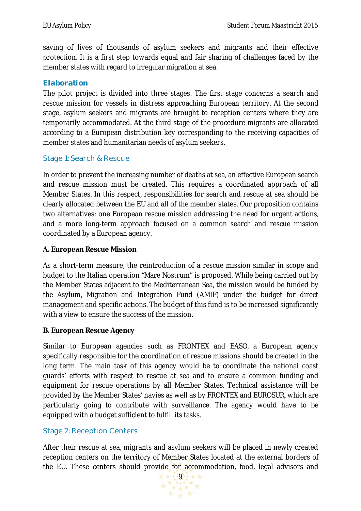saving of lives of thousands of asylum seekers and migrants and their effective protection. It is a first step towards equal and fair sharing of challenges faced by the member states with regard to irregular migration at sea.

#### **Elaboration**

The pilot project is divided into three stages. The first stage concerns a search and rescue mission for vessels in distress approaching European territory. At the second stage, asylum seekers and migrants are brought to reception centers where they are temporarily accommodated. At the third stage of the procedure migrants are allocated according to a European distribution key corresponding to the receiving capacities of member states and humanitarian needs of asylum seekers.

#### Stage 1: Search & Rescue

In order to prevent the increasing number of deaths at sea, an effective European search and rescue mission must be created. This requires a coordinated approach of all Member States. In this respect, responsibilities for search and rescue at sea should be clearly allocated between the EU and all of the member states. Our proposition contains two alternatives: one European rescue mission addressing the need for urgent actions, and a more long-term approach focused on a common search and rescue mission coordinated by a European agency.

#### **A. European Rescue Mission**

As a short-term measure, the reintroduction of a rescue mission similar in scope and budget to the Italian operation "Mare Nostrum" is proposed. While being carried out by the Member States adjacent to the Mediterranean Sea, the mission would be funded by the Asylum, Migration and Integration Fund (AMIF) under the budget for direct management and specific actions. The budget of this fund is to be increased significantly with a view to ensure the success of the mission.

#### **B. European Rescue Agency**

Similar to European agencies such as FRONTEX and EASO, a European agency specifically responsible for the coordination of rescue missions should be created in the long term. The main task of this agency would be to coordinate the national coast guards' efforts with respect to rescue at sea and to ensure a common funding and equipment for rescue operations by all Member States. Technical assistance will be provided by the Member States' navies as well as by FRONTEX and EUROSUR, which are particularly going to contribute with surveillance. The agency would have to be equipped with a budget sufficient to fulfill its tasks.

#### Stage 2: Reception Centers

After their rescue at sea, migrants and asylum seekers will be placed in newly created reception centers on the territory of Member States located at the external borders of the EU. These centers should provide for accommodation, food, legal advisors and